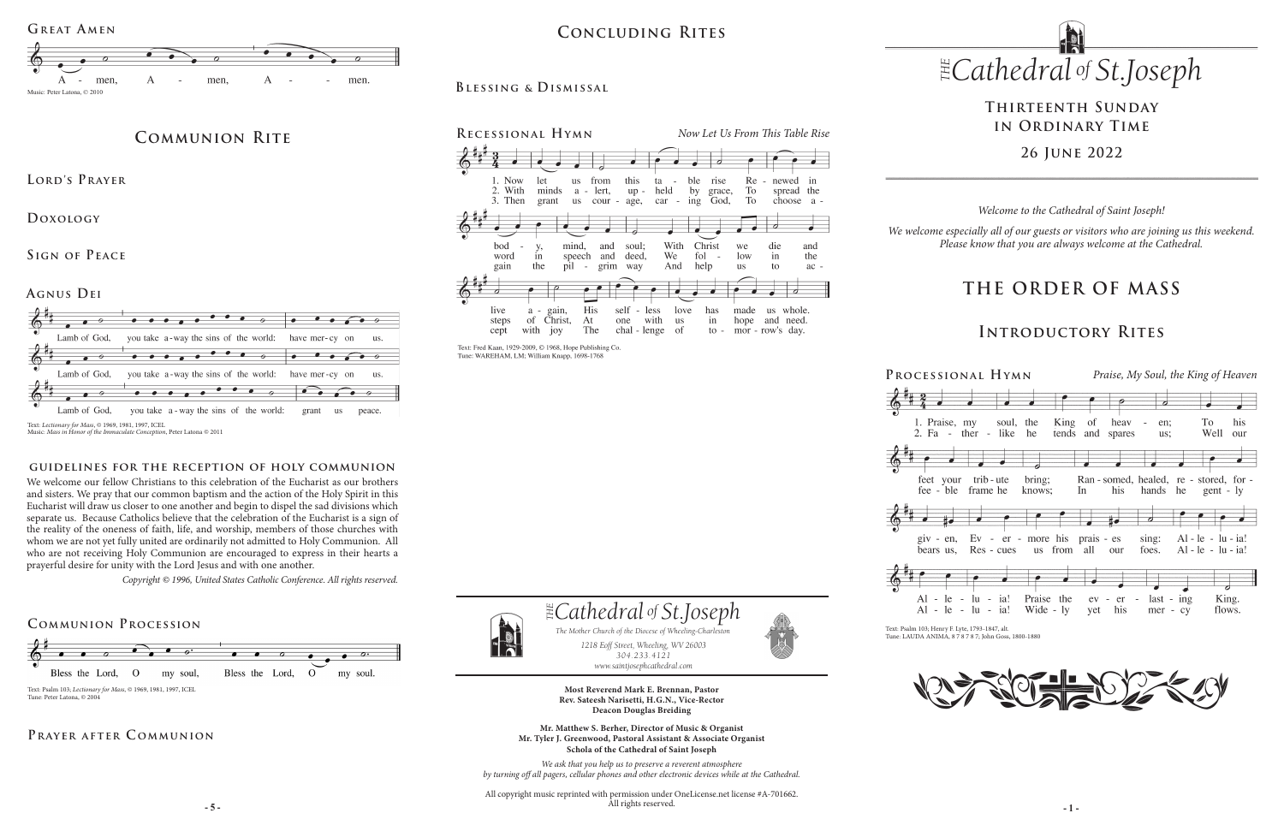# **THE ORDER OF MASS**

## **Introductory Rites**

*1218 Eoff Street, Wheeling, WV 26003 304.233.4121 304.233.4121*

*www.saintjosephcathedral.com*

*www.saintjosephcathedral.com* **Most Reverend Mark E. Brennan, Pastor Rev. Sateesh Narisetti, H.G.N., Vice-Rector Deacon Douglas Breiding**

 *Cathedral St THE of .Joseph*

The Mother Church of the Diocese of Wheeling-Charleston<br>1218 Eoff Street, Wheeling, WV 26003

**- 5 - - 1 -** All copyright music reprinted with permission under OneLicense.net license #A-701662. All rights reserved.



**Mr. Matthew S. Berher, Director of Music & Organist Mr. Tyler J. Greenwood, Pastoral Assistant & Associate Organist Schola of the Cathedral of Saint Joseph**

*1218 Eoff Street, Wheeling, WV 26003 The Mother Church of the Diocese of Wheeling-Charleston*

**Processional Hymn** *Praise, My Soul, the King of Heaven* soul, the King of To his 1. Praise, my heav  $-$  en: 2. Fa - ther - like he tends and spares us: Well our feet your trib-ute bring; Ran-somed, healed, re-stored, forfee - ble frame he knows: In his hands he gent -  $\lg$  $Ev - er - more his prais - es$ sing:  $Al - le - lu - ia!$  $\pi$  -  $\pi$ , bears us, Res - cues us from all our foes.  $Al - le - lu - ia!$  $Al - le - lu - ia!$ Praise the  $ev - er$  $-$  last  $-$  ing King.  $Al - le - lu - ia!$ Wide - ly yet his  $mer - cy$ flows.



*We ask that you help us to preserve a reverent atmosphere by turning off all pagers, cellular phones and other electronic devices while at the Cathedral.* *Welcome to the Cathedral of Saint Joseph!*

*We welcome especially all of our guests or visitors who are joining us this weekend. Please know that you are always welcome at the Cathedral.*

# **Thirteenth Sunday in Ordinary Time**

### **26 June 2022**

## **Concluding Rites**

#### **Blessing & Dismissal**

Text: Psalm 103; Henry F. Lyte, 1793-1847, alt. Tune: LAUDA ANIMA, 8 7 8 7 8 7; John Goss, 1800-1880



**Communion Rite**

**Agnus Dei**



**Lord's Prayer**

**Doxology** 

Text: *Lectionary for Mass*, © 1969, 1981, 1997, ICEL

Music: *Mass in Honor of the Immaculate Conception*, Peter Latona © 2011

#### **guidelines for the reception of holy communion**



#### PRAYER AFTER COMMUNION

We welcome our fellow Christians to this celebration of the Eucharist as our brothers and sisters. We pray that our common baptism and the action of the Holy Spirit in this Eucharist will draw us closer to one another and begin to dispel the sad divisions which separate us. Because Catholics believe that the celebration of the Eucharist is a sign of the reality of the oneness of faith, life, and worship, members of those churches with whom we are not yet fully united are ordinarily not admitted to Holy Communion. All who are not receiving Holy Communion are encouraged to express in their hearts a prayerful desire for unity with the Lord Jesus and with one another.

*Copyright © 1996, United States Catholic Conference. All rights reserved.* 

**Sign of Peace**







Text: Fred Kaan, 1929-2009, © 1968, Hope Publishing Co. Tune: WAREHAM, LM; William Knapp, 1698-1768